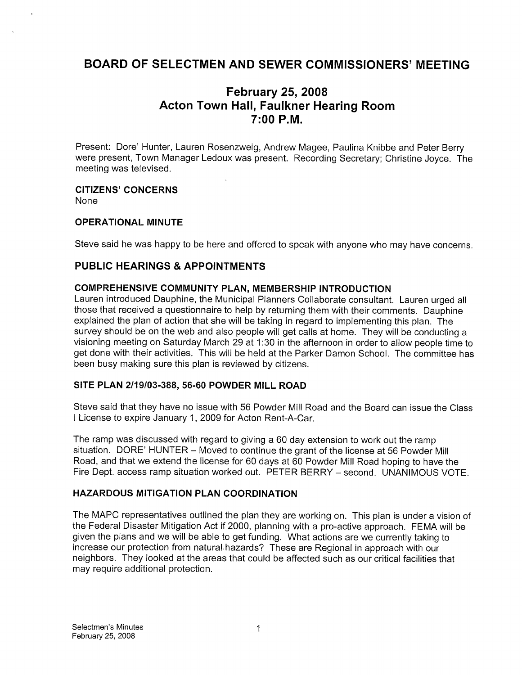# BOARD OF SELECTMEN AND SEWER COMMISSIONERS' MEETING

# February 25, 2008 Acton Town Hall, Faulkner Hearing Room 7:00 PM.

Present: Dore' Hunter, Lauren Rosenzweig, Andrew Magee, Paulina Knibbe and Peter Berry were present, Town Manager Ledoux was present. Recording Secretary; Christine Joyce. The meeting was televised.

# CITIZENS' CONCERNS

None

#### OPERATIONAL MINUTE

Steve said he was happy to be here and offered to speak with anyone who may have concerns.

### PUBLIC HEARINGS & APPOINTMENTS

#### COMPREHENSIVE COMMUNITY PLAN, MEMBERSHIP INTRODUCTION

Lauren introduced Dauphine, the Municipal Planners Collaborate consultant. Lauren urged all those that received a questionnaire to help by returning them with their comments. Dauphine explained the plan of action that she will be taking in regard to implementing this plan. The survey should be on the web and also people will get calls at home. They will be conducting a visioning meeting on Saturday March 29 at 1:30 in the afternoon in order to allow people time to get done with their activities. This will be held at the Parker Damon School. The committee has been busy making sure this plan is reviewed by citizens.

#### SITE PLAN 2/19/03-388, 56-60 POWDER MILL ROAD

Steve said that they have no issue with 56 Powder Mill Road and the Board can issue the Class <sup>I</sup> License to expire January 1, 2009 for Acton Rent-A-Car.

The ramp was discussed with regard to giving a 60 day extension to work out the ramp situation. DORE' HUNTER — Moved to continue the grant of the license at 56 Powder Mill Road, and that we extend the license for 60 days at 60 Powder Mill Road hoping to have the Fire Dept. access ramp situation worked out. PETER BERRY — second. UNANIMOUS VOTE.

### HAZARDOUS MITIGATION PLAN COORDINATION

The MAPC representatives outlined the plan they are working on. This plan is under a vision of the Federal Disaster Mitigation Act if 2000, planning with a pro-active approach. FEMA will be given the plans and we will be able to get funding. What actions are we currently taking to increase our protection from natural-hazards? These are Regional in approach with our neighbors. They looked at the areas that could be affected such as our critical facilities that may require additional protection.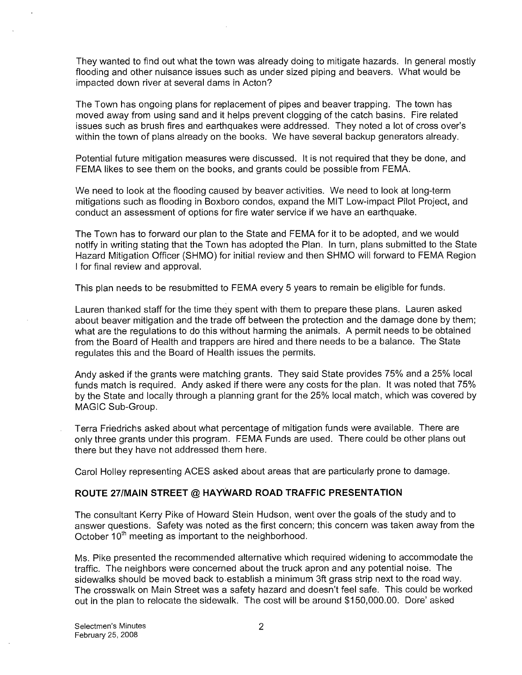They wanted to find out what the town was already doing to mitigate hazards. In general mostly flooding and other nuisance issues such as under sized piping and beavers. What would be impacted down river at several dams in Acton?

The Town has ongoing plans for replacement of pipes and beaver trapping. The town has moved away from using sand and ithelps prevent clogging of the catch basins. Fire related issues such as brush fires and earthquakes were addressed. They noted a lot of cross over's within the town of plans already on the books. We have several backup generators already.

Potential future mitigation measures were discussed. It is not required that they be done, and FEMA likes to see them on the books, and grants could be possible from FEMA.

We need to look at the flooding caused by beaver activities. We need to look at long-term mitigations such as flooding in Boxboro condos, expand the MIT Low-impact Pilot Project, and conduct an assessment of options for fire water service if we have an earthquake.

The Town has to forward our plan to the State and FEMA for it to be adopted, and we would notify in writing stating that the Town has adopted the Plan. In turn, plans submitted to the State Hazard Mitigation Officer (SHMO) for initial review and then SHMO will forward to FEMA Region <sup>I</sup> for final review and approval.

This plan needs to be resubmitted to FEMA every 5 years to remain be eligible for funds.

Lauren thanked staff for the time they spent with them to prepare these plans. Lauren asked about beaver mitigation and the trade off between the protection and the damage done by them; what are the regulations to do this without harming the animals. A permit needs to be obtained from the Board of Health and trappers are hired and there needs to be a balance. The State regulates this and the Board of Health issues the permits.

Andy asked if the grants were matching grants. They said State provides 75% and a 25% local funds match is required. Andy asked if there were any costs for the plan. It was noted that 75% by the State and locally through a planning grant for the 25% local match, which was covered by MAGIC Sub-Group.

Terra Friedrichs asked about what percentage of mitigation funds were available. There are only three grants under this program. FEMA Funds are used. There could be other plans out there but they have not addressed them here.

Carol Holley representing ACES asked about areas that are particularly prone to damage.

#### ROUTE 27/MAIN STREET @ HAYWARD ROAD TRAFFIC PRESENTATION

The consultant Kerry Pike of Howard Stein Hudson, went over the goals of the study and to answer questions. Safety was noted as the first concern; this concern was taken away from the October  $10<sup>th</sup>$  meeting as important to the neighborhood.

Ms. Pike presented the recommended alternative which required widening to accommodate the traffic. The neighbors were concerned about the truck apron and any potential noise. The sidewalks should be moved back to establish a minimum 3ft grass strip next to the road way. The crosswalk on Main Street was a safety hazard and doesn't feel safe. This could be worked out in the plan to relocate the sidewalk. The cost will be around \$150,000.00. Dore' asked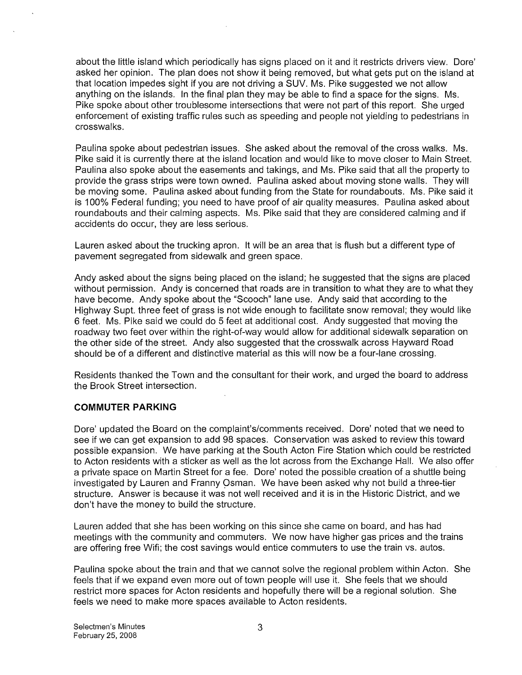about the little island which periodically has signs placed on it and it restricts drivers view. Dore' asked her opinion. The plan does not show it being removed, but what gets put on the island at that location impedes sight if you are not driving a SUV. Ms. Pike suggested we not allow anything on the islands. In the final plan they may be able to find a space for the signs. Ms. Pike spoke about other troublesome intersections that were not part of this report. She urged enforcement of existing traffic rules such as speeding and people not yielding to pedestrians in crosswalks.

Paulina spoke about pedestrian issues. She asked about the removal of the cross walks. Ms. Pike said it is currently there at the island location and would like to move closer to Main Street. Paulina also spoke about the easements and takings, and Ms. Pike said that all the property to provide the grass strips were town owned. Paulina asked about moving stone walls. They will be moving some. Paulina asked about funding from the State for roundabouts. Ms. Pike said it is 100% Federal funding; you need to have proof of air quality measures. Paulina asked about roundabouts and their calming aspects. Ms. Pike said that they are considered calming and if accidents do occur, they are less serious.

Lauren asked about the trucking apron. It will be an area that is flush but a different type of pavement segregated from sidewalk and green space.

Andy asked about the signs being placed on the island; he suggested that the signs are placed without permission. Andy is concerned that roads are in transition to what they are to what they have become. Andy spoke about the "Scooch" lane use. Andy said that according to the Highway Supt. three feet of grass is not wide enough to facilitate snow removal; they would like 6 feet. Ms. Pike said we could do 5 feet at additional cost. Andy suggested that moving the roadway two feet over within the right-of-way would allow for additional sidewalk separation on the other side of the street. Andy also suggested that the crosswalk across Hayward Road should be of a different and distinctive material as this will now be a four-lane crossing.

Residents thanked the Town and the consultant for their work, and urged the board to address the Brook Street intersection.

#### COMMUTER PARKING

Dore' updated the Board on the complaint's/comments received. Dore' noted that we need to see if we can get expansion to add 98 spaces. Conservation was asked to review this toward possible expansion. We have parking at the South Acton Fire Station which could be restricted to Acton residents with a sticker as well as the lot across from the Exchange Hall. We also offer a private space on Martin Street for a fee. Dore' noted the possible creation of a shuttle being investigated by Lauren and Franny Osman. We have been asked why not build a three-tier structure. Answer is because it was not well received and it is in the Historic District, and we don't have the money to build the structure.

Lauren added that she has been working on this since she came on board, and has had meetings with the community and commuters. We now have higher gas prices and the trains are offering free Wifi; the cost savings would entice commuters to use the train vs. autos.

Paulina spoke about the train and that we cannot solve the regional problem within Acton. She feels that if we expand even more out of town people will use it. She feels that we should restrict more spaces for Acton residents and hopefully there will be a regional solution. She feels we need to make more spaces available to Acton residents.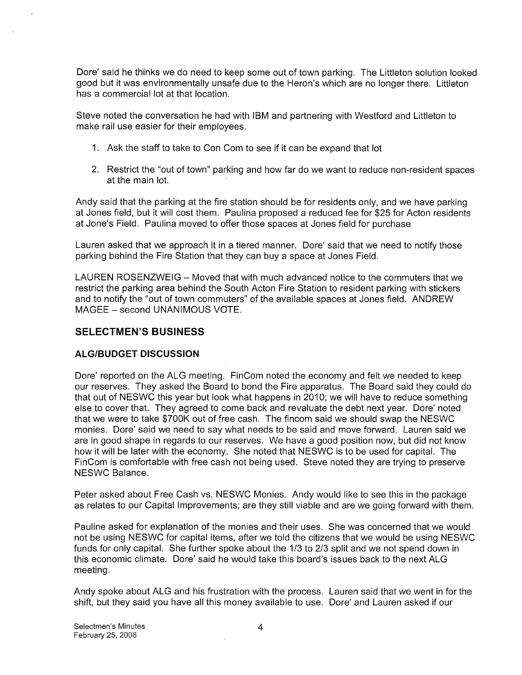Dore' said he thinks we do need to keep some out of town parking. The Littleton solution looked good but it was environmentally unsafe due to the Heron's which are no longer there. Littleton has a commercial lot at that location.

Steve noted the conversation he had with IBM and partnering with Westford and Littleton to make rail use easier for their employees.

- 1. Ask the staff to take to Con Com to see if it can be expand that lot
- 2. Restrict the "out of town" parking and how far do we want to reduce non-resident spaces at the main lot.

Andy said that the parking at the fire station should be for residents only, and we have parking at Jones field, but it will cost them. Paulina proposed a reduced fee for \$25 for Acton residents at Jone's Field. Paulina moved to offer those spaces at Jones field for purchase

Lauren asked that we approach it in a tiered manner. Dore' said that we need to notify those parking behind the Fire Station that they can buy a space at Jones Field.

LAUREN ROSENZWEIG — Moved that with much advanced notice to the commuters that we restrict the parking area behind the South Acton Fire Station to resident parking with stickers and to notify the "out of town commuters" of the available spaces at Jones field. ANDREW MAGEE — second UNANIMOUS VOTE.

#### SELECTMEN'S BUSINESS

#### ALGIBUDGET DISCUSSION

Dore' reported on the ALG meeting. FinCom noted the economy and felt we needed to keep our reserves. They asked the Board to bond the Fire apparatus. The Board said they could do that out of NESWC this year but look what happens in 2010; we will have to reduce something else to cover that. They agreed to come back and revaluate the debt next year. Dore' noted that we were to take \$700K out of free cash. The fincom said we should swap the NESWC monies. Dore' said we need to say what needs to be said and move forward. Lauren said we are in good shape in regards to our reserves. We have a good position now, but did not know how it will be later with the economy. She noted that NESWC is to be used for capital. The FinCom is comfortable with free cash not being used. Steve noted they are trying to preserve NESWC Balance.

Peter asked about Free Cash vs. NESWC Monies. Andy would like to see this in the package as relates to our Capital Improvements; are they still viable and are we going forward with them.

Pauline asked for explanation of the monies and their uses. She was concerned that we would not be using NESWC for capital items, after we told the citizens that we would be using NESWC funds for only capital. She further spoke about the 1/3 to 2/3 split and we not spend down in this economic climate. Dore' said he would take this board's issues back to the next ALG meeting.

Andy spoke about ALG and his frustration with the process. Lauren said that we went in for the shift, but they said you have all this money available to use. Dore' and Lauren asked if our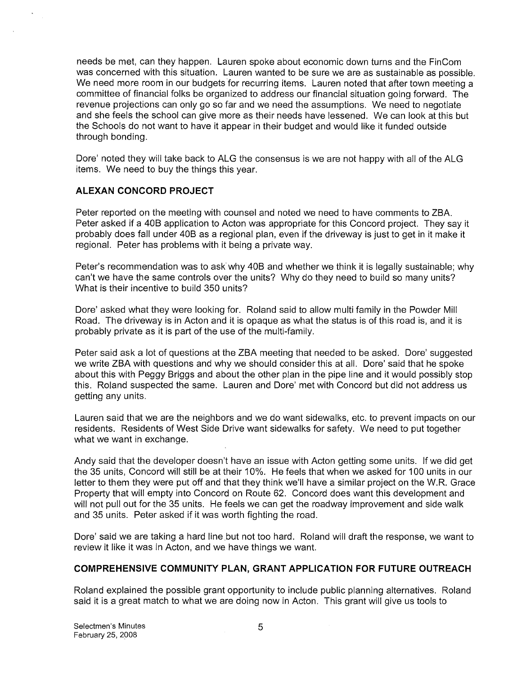needs be met, can they happen. Lauren spoke about economic down turns and the FinCom was concerned with this situation. Lauren wanted to be sure we are as sustainable as possible. We need more room in our budgets for recurring items. Lauren noted that after town meeting a committee of financial folks be organized to address our financial situation going forward. The revenue projections can only go so far and we need the assumptions. We need to negotiate and she feels the school can give more as their needs have lessened. We can look at this but the Schools do not want to have it appear in their budget and would like it funded outside through bonding.

Dore' noted they will take back to ALG the consensus is we are not happy with all of the ALG items. We need to buy the things this year.

#### ALEXAN CONCORD PROJECT

Peter reported on the meeting with counsel and noted we need to have comments to ZBA. Peter asked if a 40B application to Acton was appropriate for this Concord project. They say it probably does fall under 40B as a regional plan, even if the driveway is just to get in it make it regional. Peter has problems with it being a private way.

Peter's recommendation was to ask why 40B and whether we think it is legally sustainable; why can't we have the same controls over the units? Why do they need to build so many units? What is their incentive to build 350 units?

Dore' asked what they were looking for. Roland said to allow multi family in the Powder Mill Road. The driveway is in Acton and it is opaque as what the status is of this road is, and it is probably private as it is part of the use of the multi-family.

Peter said ask a lot of questions at the ZBA meeting that needed to be asked. Dore' suggested we write ZBA with questions and why we should consider this at all. Dore' said that he spoke about this with Peggy Briggs and about the other plan in the pipe line and it would possibly stop this. Roland suspected the same. Lauren and Dore' met with Concord but did not address us getting any units.

Lauren said that we are the neighbors and we do want sidewalks, etc. to prevent impacts on our residents. Residents of West Side Drive want sidewalks for safety. We need to put together what we want in exchange.

Andy said that the developer doesn't have an issue with Acton getting some units. If we did get the 35 units, Concord will still be at their 10%. He feels that when we asked for 100 units in our letter to them they were put off and that they think we'll have a similar project on the W.R. Grace Property that will empty into Concord on Route 62. Concord does want this development and will not pull out for the 35 units. He feels we can get the roadway improvement and side walk and 35 units. Peter asked if it was worth fighting the road.

Dore' said we are taking a hard line but not too hard. Roland will draft the response, we want to review it like it was in Acton, and we have things we want.

#### COMPREHENSIVE COMMUNITY PLAN, GRANT APPLICATION FOR FUTURE OUTREACH

Roland explained the possible grant opportunity to include public planning alternatives. Roland said it is a great match to what we are doing now in Acton. This grant will give us tools to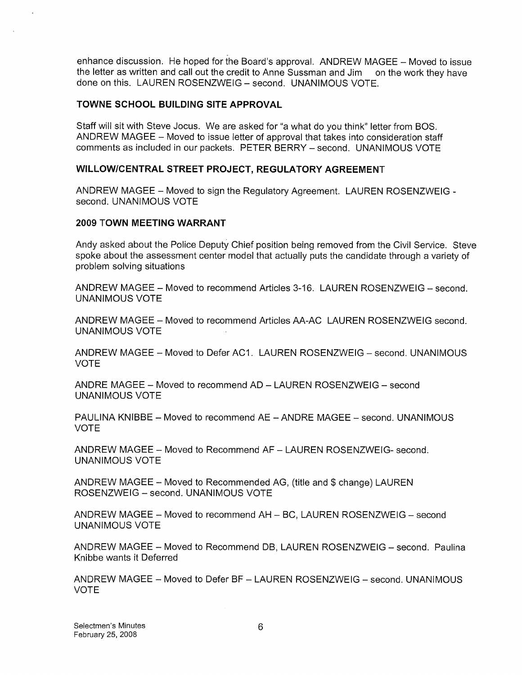enhance discussion. He hoped for the Board's approval. ANDREW MAGEE — Moved to issue the letter as written and call out the credit to Anne Sussman and Jim on the work they have done on this. LAUREN ROSENZWEIG — second. UNANIMOUS VOTE.

#### TOWNE SCHOOL BUILDING SITE APPROVAL

Staff will sit with Steve Jocus. We are asked for "a what do you think" letter from BOS. ANDREW MAGEE — Moved to issue letter of approval that takes into consideration staff comments as included in our packets. PETER BERRY — second. UNANIMOUS VOTE

#### WILLOWICENTRAL STREET PROJECT, REGULATORY AGREEMENT

ANDREW MAGEE — Moved to sign the Regulatory Agreement. LAUREN ROSENZWEIG second. UNANIMOUS VOTE

#### 2009 TOWN MEETING WARRANT

Andy asked about the Police Deputy Chief position being removed from the Civil Service. Steve spoke about the assessment center model that actually puts the candidate through a variety of problem solving situations

ANDREW MAGEE — Moved to recommend Articles 3-16. LAUREN ROSENZWEIG — second. UNANIMOUS VOTE

ANDREW MAGEE — Moved to recommend Articles AA-AC LAUREN ROSENZWEIG second. UNANIMOUS VOTE

ANDREW MAGEE — Moved to Defer AC1. LAUREN ROSENZWEIG — second. UNANIMOUS VOTE

ANDRE MAGEE — Moved to recommend AD — LAUREN ROSENZWEIG — second UNANIMOUS VOTE

PAULINA KNIBBE — Moved to recommend AE — ANDRE MAGEE — second. UNANIMOUS VOTE

ANDREW MAGEE — Moved to Recommend AF — LAUREN ROSENZWEIG- second. UNANIMOUS VOTE

ANDREW MAGEE — Moved to Recommended AG, (title and \$ change) LAUREN ROSENZWEIG - second. UNANIMOUS VOTE

ANDREW MAGEE — Moved to recommend AH — BC, LAUREN ROSENZWEIG — second UNANIMOUS VOTE

ANDREW MAGEE — Moved to Recommend DB, LAUREN ROSENZWEIG — second. Paulina Knibbe wants it Deferred

ANDREW MAGEE — Moved to Defer BF — LAUREN ROSENZWEIG — second. UNANIMOUS VOTE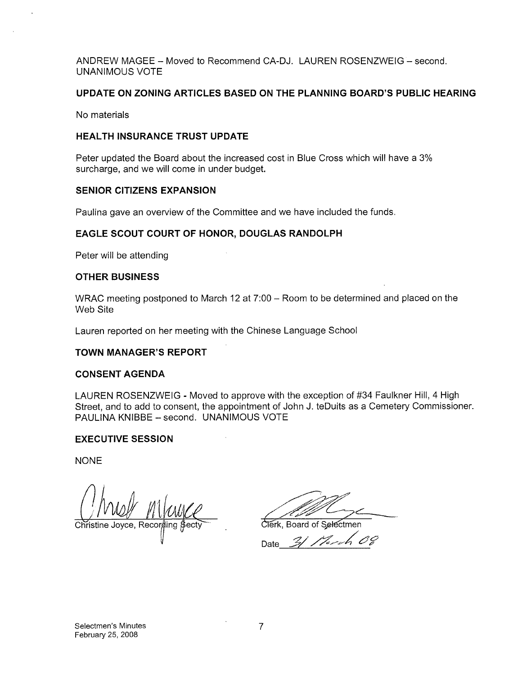ANDREW MAGEE — Moved to Recommend CA-DJ. LAUREN ROSENZWEIG — second. UNANIMOUS VOTE

#### UPDATE ON ZONING ARTICLES BASED ON THE PLANNING BOARD'S PUBLIC HEARING

No materials

#### HEALTH INSURANCE TRUST UPDATE

Peter updated the Board about the increased cost in Blue Cross which will have a 3% surcharge, and we will come in under budget.

#### SENIOR CITIZENS EXPANSION

Paulina gave an overview of the Committee and we have included the funds.

#### EAGLE SCOUT COURT OF HONOR, DOUGLAS RANDOLPH

Peter will be attending

#### OTHER BUSINESS

WRAC meeting postponed to March 12 at 7:00 — Room to be determined and placed on the Web Site

Lauren reported on her meeting with the Chinese Language School

#### TOWN MANAGER'S REPORT

#### CONSENT AGENDA

LAUREN ROSENZWEIG - Moved to approve with the exception of #34 Faulkner Hill, 4 High Street, and to add to consent, the appointment of John J. teDuits as a Cemetery Commissioner. PAULINA KNIBBE — second. UNANIMOUS VOTE

#### EXECUTIVE SESSION

NONE

Christine Joyce, Recor VOW MWWC<br>Joyce, Recording Secty<br>Clerk, Board of Selectmen

Date\_\_\_\_\_\_\_\_\_\_\_\_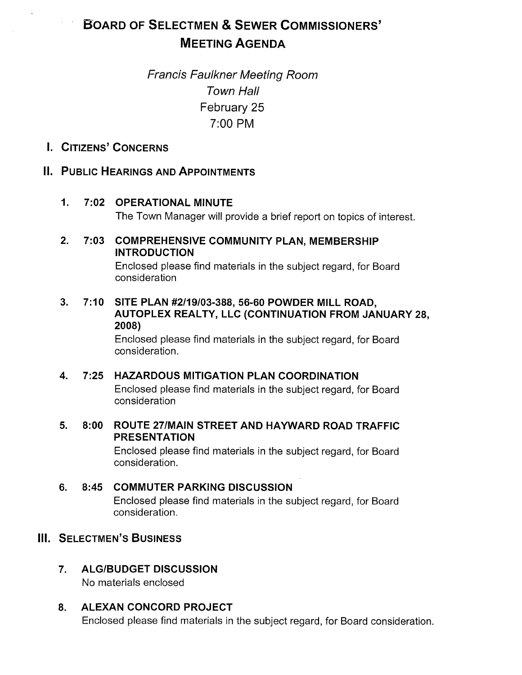# BOARD OF SELECTMEN & SEWER COMMISSIONERS' MEETING AGENDA

# Franc/s Faulkner Meeting Room Town Hall February 25 7:00 PM

# I. CITIZENS' CONCERNS

# II. PUBLIC HEARINGS AND APPOINTMENTS

### 1. 7:02 OPERATIONAL MINUTE

The Town Manager will provide a brief report on topics of interest.

# 2. 7:03 COMPREHENSIVE COMMUNITY PLAN, MEMBERSHIP INTRODUCTION

Enclosed please find materials in the subject regard, for Board consideration

### 3. 7:10 SITE PLAN #2/19/03-388, 56-60 POWDER MILL ROAD, AUTOPLEX REALTY, LLC (CONTINUATION FROM JANUARY 28, 2008)

Enclosed please find materials in the subject regard, for Board consideration.

# 4. 7:25 HAZARDOUS MITIGATION PLAN COORDINATION

Enclosed please find materials in the subject regard, for Board consideration

### 5. 8:00 ROUTE 27/MAIN STREET AND HAYWARD ROAD TRAFFIC PRESENTATION

Enclosed please find materials in the subject regard, for Board consideration.

# 6. 8:45 COMMUTER PARKING DISCUSSION

Enclosed please find materials in the subject regard, for Board consideration.

# III. SELECTMEN'S BUSINESS

# 7. ALG/BUDGET DISCUSSION

No materials enclosed

# 8. ALEXAN CONCORD PROJECT

Enclosed please find materials in the subject regard, for Board consideration.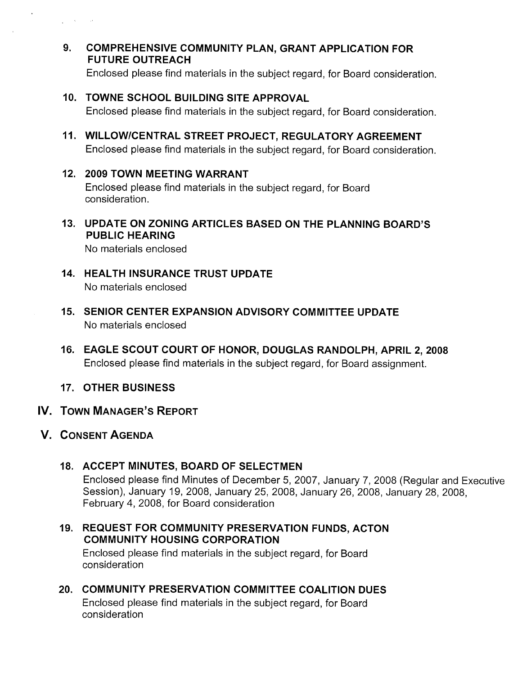9. COMPREHENSIVE COMMUNITY PLAN, GRANT APPLICATION FOR FUTURE OUTREACH

Enclosed please find materials in the subject regard, for Board consideration.

10. TOWNE SCHOOL BUILDING SITE APPROVAL

Enclosed please find materials in the subject regard, for Board consideration.

- 11. WILLOW/CENTRAL STREET PROJECT, REGULATORY AGREEMENT Enclosed please find materials in the subject regard, for Board consideration.
- 12. 2009 TOWN MEETING WARRANT

Enclosed please find materials in the subject regard, for Board consideration.

13. UPDATE ON ZONING ARTICLES BASED ON THE PLANNING BOARD'S PUBLIC HEARING

No materials enclosed

- 14. HEALTH INSURANCE TRUST UPDATE No materials enclosed
- 15. SENIOR CENTER EXPANSION ADVISORY COMMITTEE UPDATE No materials enclosed
- 16. EAGLE SCOUT COURT OF HONOR, DOUGLAS RANDOLPH, APRIL 2, 2008 Enclosed please find materials in the subject regard, for Board assignment.
- 17. OTHER BUSINESS
- IV. TOWN MANAGER'S REPORT
- V. CONSENT AGENDA

فكالمستعاد والمنازل

18. ACCEPT MINUTES, BOARD OF SELECTMEN

Enclosed please find Minutes of December 5, 2007, January 7, 2008 (Regular and Executive Session), January 19, 2008, January 25, 2008, January 26, 2008, January 28, 2008, February 4, 2008, for Board consideration

19. REQUEST FOR COMMUNITY PRESERVATION FUNDS, ACTON COMMUNITY HOUSING CORPORATION

Enclosed please find materials in the subject regard, for Board consideration

20. COMMUNITY PRESERVATION COMMITTEE COALITION DUES Enclosed please find materials in the subject regard, for Board consideration